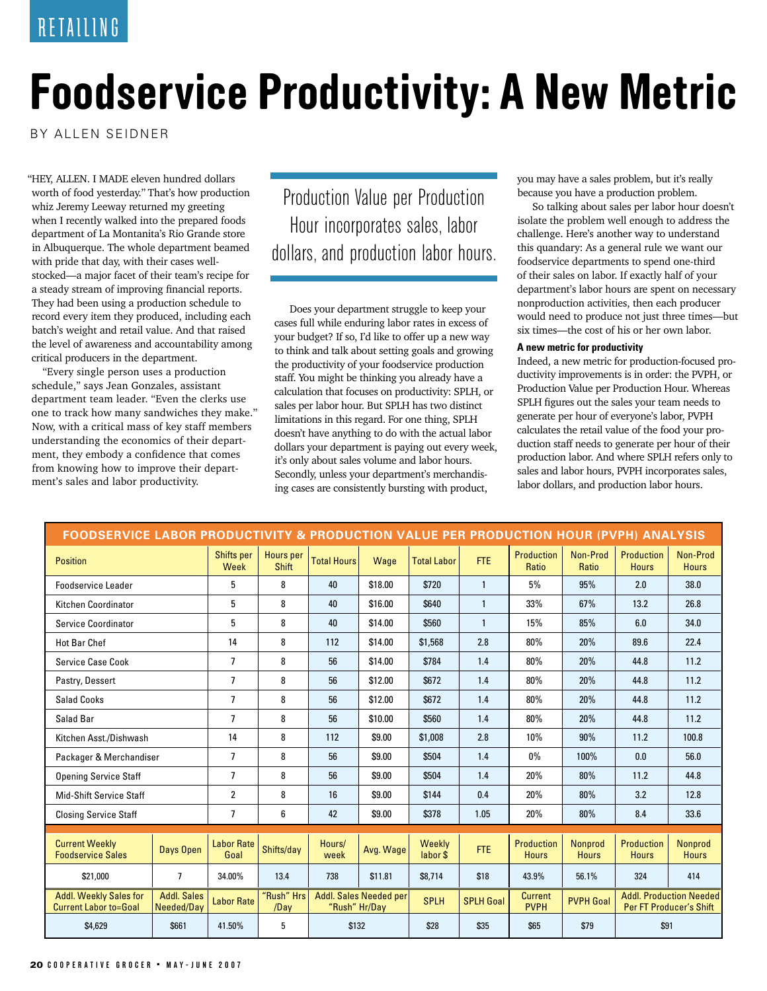## **Foodservice Productivity: A New Metric**

BY ALLEN SEIDNER

"HEY, ALLEN. I MADE eleven hundred dollars worth of food yesterday." That's how production whiz Jeremy Leeway returned my greeting when I recently walked into the prepared foods department of La Montanita's Rio Grande store in Albuquerque. The whole department beamed with pride that day, with their cases wellstocked—a major facet of their team's recipe for a steady stream of improving financial reports. They had been using a production schedule to record every item they produced, including each batch's weight and retail value. And that raised the level of awareness and accountability among critical producers in the department.

"Every single person uses a production schedule," says Jean Gonzales, assistant department team leader. "Even the clerks use one to track how many sandwiches they make." Now, with a critical mass of key staff members understanding the economics of their department, they embody a confidence that comes from knowing how to improve their department's sales and labor productivity.

Production Value per Production Hour incorporates sales, labor dollars, and production labor hours.

Does your department struggle to keep your cases full while enduring labor rates in excess of your budget? If so, I'd like to offer up a new way to think and talk about setting goals and growing the productivity of your foodservice production staff. You might be thinking you already have a calculation that focuses on productivity: SPLH, or sales per labor hour. But SPLH has two distinct limitations in this regard. For one thing, SPLH doesn't have anything to do with the actual labor dollars your department is paying out every week, it's only about sales volume and labor hours. Secondly, unless your department's merchandising cases are consistently bursting with product,

you may have a sales problem, but it's really because you have a production problem.

So talking about sales per labor hour doesn't isolate the problem well enough to address the challenge. Here's another way to understand this quandary: As a general rule we want our foodservice departments to spend one-third of their sales on labor. If exactly half of your department's labor hours are spent on necessary nonproduction activities, then each producer would need to produce not just three times—but six times—the cost of his or her own labor.

## **A new metric for productivity**

Indeed, a new metric for production-focused productivity improvements is in order: the PVPH, or Production Value per Production Hour. Whereas SPLH figures out the sales your team needs to generate per hour of everyone's labor, PVPH calculates the retail value of the food your production staff needs to generate per hour of their production labor. And where SPLH refers only to sales and labor hours, PVPH incorporates sales, labor dollars, and production labor hours.

| <b>FOODSERVICE LABOR PRODUCTIVITY &amp; PRODUCTION VALUE PER PRODUCTION HOUR (PVPH) ANALYSIS</b> |                                  |                           |                           |                                         |           |                    |                  |                                   |                                |                                                           |                                |
|--------------------------------------------------------------------------------------------------|----------------------------------|---------------------------|---------------------------|-----------------------------------------|-----------|--------------------|------------------|-----------------------------------|--------------------------------|-----------------------------------------------------------|--------------------------------|
| <b>Position</b>                                                                                  |                                  | Shifts per<br>Week        | Hours per<br><b>Shift</b> | <b>Total Hours</b>                      | Wage      | <b>Total Labor</b> | FTE              | <b>Production</b><br>Ratio        | Non-Prod<br>Ratio              | <b>Production</b><br><b>Hours</b>                         | Non-Prod<br><b>Hours</b>       |
| Foodservice Leader                                                                               |                                  | 5                         | 8                         | 40                                      | \$18.00   | \$720              | $\mathbf{1}$     | 5%                                | 95%                            | 2.0                                                       | 38.0                           |
| Kitchen Coordinator                                                                              |                                  | 5                         | 8                         | 40                                      | \$16.00   | \$640              | $\mathbf{1}$     | 33%                               | 67%                            | 13.2                                                      | 26.8                           |
| <b>Service Coordinator</b>                                                                       |                                  | 5                         | 8                         | 40                                      | \$14.00   | \$560              | $\mathbf{1}$     | 15%                               | 85%                            | 6.0                                                       | 34.0                           |
| <b>Hot Bar Chef</b>                                                                              |                                  | 14                        | 8                         | 112                                     | \$14.00   | \$1,568            | 2.8              | 80%                               | 20%                            | 89.6                                                      | 22.4                           |
| <b>Service Case Cook</b>                                                                         |                                  | $\overline{7}$            | 8                         | 56                                      | \$14.00   | \$784              | 1.4              | 80%                               | 20%                            | 44.8                                                      | 11.2                           |
| Pastry, Dessert                                                                                  |                                  | $\overline{1}$            | 8                         | 56                                      | \$12.00   | \$672              | 1.4              | 80%                               | 20%                            | 44.8                                                      | 11.2                           |
| <b>Salad Cooks</b>                                                                               |                                  | $\overline{1}$            | 8                         | 56                                      | \$12.00   | \$672              | 1.4              | 80%                               | 20%                            | 44.8                                                      | 11.2                           |
| Salad Bar                                                                                        |                                  | $\overline{7}$            | 8                         | 56                                      | \$10.00   | \$560              | 1.4              | 80%                               | 20%                            | 44.8                                                      | 11.2                           |
| Kitchen Asst./Dishwash                                                                           |                                  | 14                        | 8                         | 112                                     | \$9.00    | \$1,008            | 2.8              | 10%                               | 90%                            | 11.2                                                      | 100.8                          |
| Packager & Merchandiser                                                                          |                                  | $\overline{7}$            | 8                         | 56                                      | \$9.00    | \$504              | 1.4              | $0\%$                             | 100%                           | 0.0                                                       | 56.0                           |
| <b>Opening Service Staff</b>                                                                     |                                  | $\overline{7}$            | 8                         | 56                                      | \$9.00    | \$504              | 1.4              | 20%                               | 80%                            | 11.2                                                      | 44.8                           |
| <b>Mid-Shift Service Staff</b>                                                                   |                                  | $\overline{2}$            | 8                         | 16                                      | \$9.00    | \$144              | 0.4              | 20%                               | 80%                            | 3.2                                                       | 12.8                           |
| <b>Closing Service Staff</b>                                                                     |                                  | $\overline{1}$            | 6                         | 42                                      | \$9.00    | \$378              | 1.05             | 20%                               | 80%                            | 8.4                                                       | 33.6                           |
|                                                                                                  |                                  |                           |                           |                                         |           |                    |                  |                                   |                                |                                                           |                                |
| <b>Current Weekly</b><br><b>Foodservice Sales</b>                                                | Days Open                        | <b>Labor Rate</b><br>Goal | Shifts/day                | Hours/<br>week                          | Avg. Wage | Weekly<br>labor \$ | FTE              | <b>Production</b><br><b>Hours</b> | <b>Nonprod</b><br><b>Hours</b> | <b>Production</b><br><b>Hours</b>                         | <b>Nonprod</b><br><b>Hours</b> |
| \$21,000                                                                                         | $\overline{7}$                   | 34.00%                    | 13.4                      | 738                                     | \$11.81   | \$8,714            | \$18             | 43.9%                             | 56.1%                          | 324                                                       | 414                            |
| <b>Addl. Weekly Sales for</b><br><b>Current Labor to=Goal</b>                                    | <b>Addl. Sales</b><br>Needed/Day | <b>Labor Rate</b>         | "Rush" Hrs<br>/Day        | Addl. Sales Needed per<br>"Rush" Hr/Day |           | <b>SPLH</b>        | <b>SPLH Goal</b> | <b>Current</b><br><b>PVPH</b>     | <b>PVPH Goal</b>               | <b>Addl. Production Needed</b><br>Per FT Producer's Shift |                                |
| \$661<br>\$4,629                                                                                 |                                  | 41.50%                    | 5                         | \$132                                   |           | \$28               | \$35             | \$65                              | \$79                           | \$91                                                      |                                |